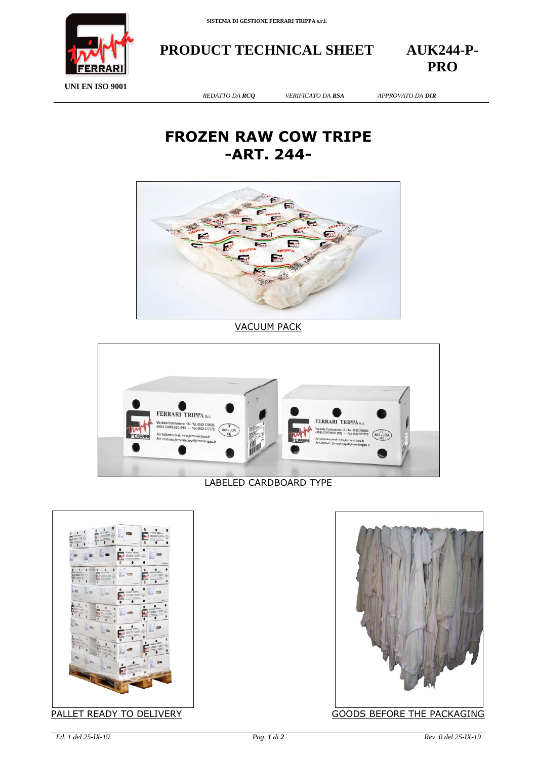



**PRODUCT TECHNICAL SHEET AUK244-P-**

**PRO**

**UNI EN ISO 9001**

*REDATTO DA RCQ VERIFICATO DA RSA APPROVATO DA DIR*

## **FROZEN RAW COW TRIPE -ART. 244-**



VACUUM PACK



## LABELED CARDBOARD TYPE